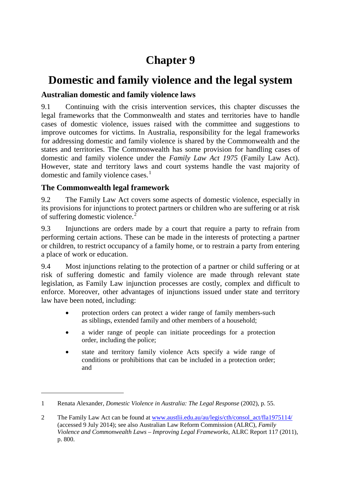# **Chapter 9**

# **Domestic and family violence and the legal system**

# **Australian domestic and family violence laws**

9.1 Continuing with the crisis intervention services, this chapter discusses the legal frameworks that the Commonwealth and states and territories have to handle cases of domestic violence, issues raised with the committee and suggestions to improve outcomes for victims. In Australia, responsibility for the legal frameworks for addressing domestic and family violence is shared by the Commonwealth and the states and territories. The Commonwealth has some provision for handling cases of domestic and family violence under the *Family Law Act 1975* (Family Law Act). However, state and territory laws and court systems handle the vast majority of domestic and family violence cases.<sup>[1](#page-0-0)</sup>

# **The Commonwealth legal framework**

-

9.2 The Family Law Act covers some aspects of domestic violence, especially in its provisions for injunctions to protect partners or children who are suffering or at risk of suffering domestic violence.<sup>[2](#page-0-1)</sup>

9.3 Injunctions are orders made by a court that require a party to refrain from performing certain actions. These can be made in the interests of protecting a partner or children, to restrict occupancy of a family home, or to restrain a party from entering a place of work or education.

9.4 Most injunctions relating to the protection of a partner or child suffering or at risk of suffering domestic and family violence are made through relevant state legislation, as Family Law injunction processes are costly, complex and difficult to enforce. Moreover, other advantages of injunctions issued under state and territory law have been noted, including:

- protection orders can protect a wider range of family members-such as siblings, extended family and other members of a household;
- a wider range of people can initiate proceedings for a protection order, including the police;
- state and territory family violence Acts specify a wide range of conditions or prohibitions that can be included in a protection order; and

<span id="page-0-0"></span><sup>1</sup> Renata Alexander, *Domestic Violence in Australia: The Legal Response* (2002), p. 55.

<span id="page-0-1"></span><sup>2</sup> The Family Law Act can be found at [www.austlii.edu.au/au/legis/cth/consol\\_act/fla1975114/](http://www.austlii.edu.au/au/legis/cth/consol_act/fla1975114/) (accessed 9 July 2014); see also Australian Law Reform Commission (ALRC), *Family Violence and Commonwealth Laws – Improving Legal Frameworks*, ALRC Report 117 (2011), p. 800.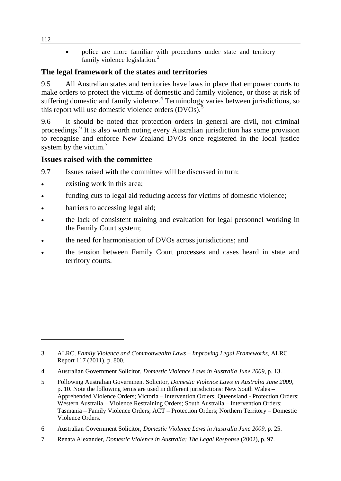• police are more familiar with procedures under state and territory family violence legislation.<sup>[3](#page-1-0)</sup>

# **The legal framework of the states and territories**

9.5 All Australian states and territories have laws in place that empower courts to make orders to protect the victims of domestic and family violence, or those at risk of suffering domestic and family violence.<sup>[4](#page-1-1)</sup> Terminology varies between jurisdictions, so this report will use domestic violence orders  $(DVOs)$ .

9.6 It should be noted that protection orders in general are civil, not criminal proceedings.[6](#page-1-3) It is also worth noting every Australian jurisdiction has some provision to recognise and enforce New Zealand DVOs once registered in the local justice system by the victim. $<sup>7</sup>$  $<sup>7</sup>$  $<sup>7</sup>$ </sup>

# **Issues raised with the committee**

9.7 Issues raised with the committee will be discussed in turn:

- existing work in this area;
- funding cuts to legal aid reducing access for victims of domestic violence;
- barriers to accessing legal aid;
- the lack of consistent training and evaluation for legal personnel working in the Family Court system;
- the need for harmonisation of DVOs across jurisdictions; and
- the tension between Family Court processes and cases heard in state and territory courts.

<span id="page-1-4"></span>7 Renata Alexander, *Domestic Violence in Australia: The Legal Response* (2002), p. 97.

<span id="page-1-0"></span><sup>3</sup> ALRC, *Family Violence and Commonwealth Laws – Improving Legal Frameworks*, ALRC Report 117 (2011), p. 800.

<span id="page-1-1"></span><sup>4</sup> Australian Government Solicitor, *Domestic Violence Laws in Australia June 2009*, p. 13.

<span id="page-1-2"></span><sup>5</sup> Following Australian Government Solicitor, *Domestic Violence Laws in Australia June 2009*, p. 10. Note the following terms are used in different jurisdictions: New South Wales – Apprehended Violence Orders; Victoria – Intervention Orders; Queensland - Protection Orders; Western Australia – Violence Restraining Orders; South Australia – Intervention Orders; Tasmania – Family Violence Orders; ACT – Protection Orders; Northern Territory – Domestic Violence Orders.

<span id="page-1-3"></span><sup>6</sup> Australian Government Solicitor, *Domestic Violence Laws in Australia June 2009*, p. 25.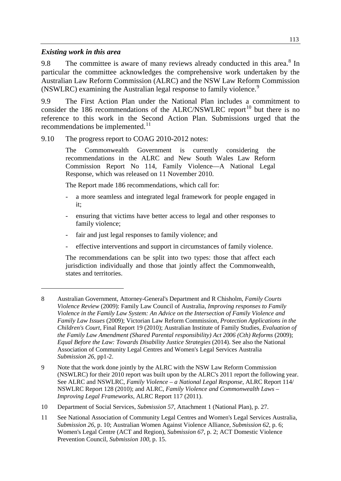#### *Existing work in this area*

-

9.[8](#page-2-0) The committee is aware of many reviews already conducted in this area.<sup>8</sup> In particular the committee acknowledges the comprehensive work undertaken by the Australian Law Reform Commission (ALRC) and the NSW Law Reform Commission (NSWLRC) examining the Australian legal response to family violence.<sup>[9](#page-2-1)</sup>

9.9 The First Action Plan under the National Plan includes a commitment to consider the 186 recommendations of the ALRC/NSWLRC report<sup>[10](#page-2-2)</sup> but there is no reference to this work in the Second Action Plan. Submissions urged that the recommendations be implemented.<sup>[11](#page-2-3)</sup>

#### 9.10 The progress report to COAG 2010-2012 notes:

The Commonwealth Government is currently considering the recommendations in the ALRC and New South Wales Law Reform Commission Report No 114, Family Violence—A National Legal Response, which was released on 11 November 2010.

The Report made 186 recommendations, which call for:

- a more seamless and integrated legal framework for people engaged in it;
- ensuring that victims have better access to legal and other responses to family violence;
- fair and just legal responses to family violence; and
- effective interventions and support in circumstances of family violence.

The recommendations can be split into two types: those that affect each jurisdiction individually and those that jointly affect the Commonwealth, states and territories.

<span id="page-2-1"></span>9 Note that the work done jointly by the ALRC with the NSW Law Reform Commission (NSWLRC) for their 2010 report was built upon by the ALRC's 2011 report the following year. See ALRC and NSWLRC, *Family Violence – a National Legal Response*, ALRC Report 114/ NSWLRC Report 128 (2010); and ALRC, *Family Violence and Commonwealth Laws – Improving Legal Frameworks*, ALRC Report 117 (2011).

<span id="page-2-2"></span>10 Department of Social Services, *Submission 57*, Attachment 1 (National Plan), p. 27.

<span id="page-2-0"></span><sup>8</sup> Australian Government, Attorney-General's Department and R Chisholm, *Family Courts Violence Review* (2009): Family Law Council of Australia, *Improving responses to Family Violence in the Family Law System: An Advice on the Intersection of Family Violence and Family Law Issues* (2009); Victorian Law Reform Commission, *Protection Applications in the Children's Court*, Final Report 19 (2010); Australian Institute of Family Studies, *Evaluation of the Family Law Amendment (Shared Parental responsibility) Act 2006 (Cth) Reforms* (2009); *Equal Before the Law: Towards Disability Justice Strategies* (2014). See also the National Association of Community Legal Centres and Women's Legal Services Australia *Submission 26*, pp1-2.

<span id="page-2-3"></span><sup>11</sup> See National Association of Community Legal Centres and Women's Legal Services Australia, *Submission 26*, p. 10; Australian Women Against Violence Alliance, *Submission 62*, p. 6; Women's Legal Centre (ACT and Region), *Submission 67*, p. 2; ACT Domestic Violence Prevention Council, *Submission 100*, p. 15.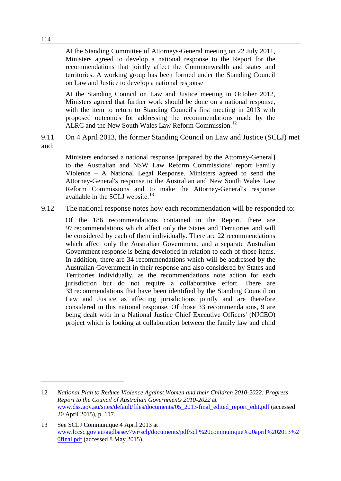At the Standing Committee of Attorneys-General meeting on 22 July 2011, Ministers agreed to develop a national response to the Report for the recommendations that jointly affect the Commonwealth and states and territories. A working group has been formed under the Standing Council on Law and Justice to develop a national response

At the Standing Council on Law and Justice meeting in October 2012, Ministers agreed that further work should be done on a national response, with the item to return to Standing Council's first meeting in 2013 with proposed outcomes for addressing the recommendations made by the ALRC and the New South Wales Law Reform Commission.<sup>[12](#page-3-0)</sup>

9.11 On 4 April 2013, the former Standing Council on Law and Justice (SCLJ) met and:

Ministers endorsed a national response [prepared by the Attorney-General] to the Australian and NSW Law Reform Commissions' report Family Violence – A National Legal Response. Ministers agreed to send the Attorney-General's response to the Australian and New South Wales Law Reform Commissions and to make the Attorney-General's response available in the SCLJ website. $^{13}$  $^{13}$  $^{13}$ 

9.12 The national response notes how each recommendation will be responded to:

Of the 186 recommendations contained in the Report, there are 97 recommendations which affect only the States and Territories and will be considered by each of them individually. There are 22 recommendations which affect only the Australian Government, and a separate Australian Government response is being developed in relation to each of those items. In addition, there are 34 recommendations which will be addressed by the Australian Government in their response and also considered by States and Territories individually, as the recommendations note action for each jurisdiction but do not require a collaborative effort. There are 33 recommendations that have been identified by the Standing Council on Law and Justice as affecting jurisdictions jointly and are therefore considered in this national response. Of those 33 recommendations, 9 are being dealt with in a National Justice Chief Executive Officers' (NJCEO) project which is looking at collaboration between the family law and child

<span id="page-3-0"></span><sup>12</sup> *National Plan to Reduce Violence Against Women and their Children 2010-2022: Progress Report to the Council of Australian Governments 2010-2022* at [www.dss.gov.au/sites/default/files/documents/05\\_2013/final\\_edited\\_report\\_edit.pdf](http://www.dss.gov.au/sites/default/files/documents/05_2013/final_edited_report_edit.pdf) (accessed 20 April 2015), p. 117.

<span id="page-3-1"></span><sup>13</sup> See SCLJ Communique 4 April 2013 at [www.lccsc.gov.au/agdbasev7wr/sclj/documents/pdf/sclj%20communique%20april%202013%2](http://www.lccsc.gov.au/agdbasev7wr/sclj/documents/pdf/sclj%20communique%20april%202013%20final.pdf) [0final.pdf](http://www.lccsc.gov.au/agdbasev7wr/sclj/documents/pdf/sclj%20communique%20april%202013%20final.pdf) (accessed 8 May 2015).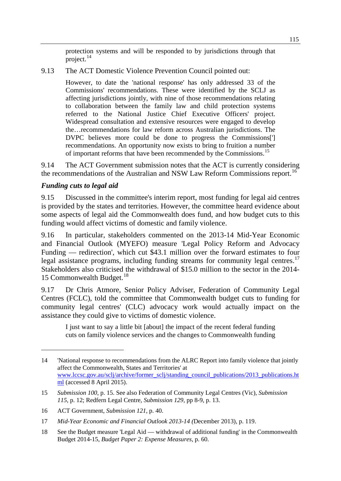protection systems and will be responded to by jurisdictions through that project.[14](#page-4-0)

9.13 The ACT Domestic Violence Prevention Council pointed out:

However, to date the 'national response' has only addressed 33 of the Commissions' recommendations. These were identified by the SCLJ as affecting jurisdictions jointly, with nine of those recommendations relating to collaboration between the family law and child protection systems referred to the National Justice Chief Executive Officers' project. Widespread consultation and extensive resources were engaged to develop the…recommendations for law reform across Australian jurisdictions. The DVPC believes more could be done to progress the Commissions['] recommendations. An opportunity now exists to bring to fruition a number of important reforms that have been recommended by the Commissions.<sup>[15](#page-4-1)</sup>

9.14 The ACT Government submission notes that the ACT is currently considering the recommendations of the Australian and NSW Law Reform Commissions report.<sup>[16](#page-4-2)</sup>

# *Funding cuts to legal aid*

-

9.15 Discussed in the committee's interim report, most funding for legal aid centres is provided by the states and territories. However, the committee heard evidence about some aspects of legal aid the Commonwealth does fund, and how budget cuts to this funding would affect victims of domestic and family violence.

9.16 In particular, stakeholders commented on the 2013-14 Mid-Year Economic and Financial Outlook (MYEFO) measure 'Legal Policy Reform and Advocacy Funding — redirection', which cut \$43.1 million over the forward estimates to four legal assistance programs, including funding streams for community legal centres.<sup>[17](#page-4-3)</sup> Stakeholders also criticised the withdrawal of \$15.0 million to the sector in the 2014- 15 Commonwealth Budget.<sup>[18](#page-4-4)</sup>

9.17 Dr Chris Atmore, Senior Policy Adviser, Federation of Community Legal Centres (FCLC), told the committee that Commonwealth budget cuts to funding for community legal centres' (CLC) advocacy work would actually impact on the assistance they could give to victims of domestic violence.

I just want to say a little bit [about] the impact of the recent federal funding cuts on family violence services and the changes to Commonwealth funding

<span id="page-4-0"></span><sup>14</sup> 'National response to recommendations from the ALRC Report into family violence that jointly affect the Commonwealth, States and Territories' at [www.lccsc.gov.au/sclj/archive/former\\_sclj/standing\\_council\\_publications/2013\\_publications.ht](http://www.lccsc.gov.au/sclj/archive/former_sclj/standing_council_publications/2013_publications.html) [ml](http://www.lccsc.gov.au/sclj/archive/former_sclj/standing_council_publications/2013_publications.html) (accessed 8 April 2015).

<span id="page-4-1"></span><sup>15</sup> *Submission 100*, p. 15. See also Federation of Community Legal Centres (Vic), *Submission 115*, p. 12; Redfern Legal Centre, *Submission 129*, pp 8-9, p. 13.

<span id="page-4-2"></span><sup>16</sup> ACT Government, *Submission 121*, p. 40.

<span id="page-4-3"></span><sup>17</sup> *Mid-Year Economic and Financial Outlook 2013-14 (*December 2013), p. 119.

<span id="page-4-4"></span><sup>18</sup> See the Budget measure 'Legal Aid — withdrawal of additional funding' in the Commonwealth Budget 2014-15, *Budget Paper 2: Expense Measures*, p. 60.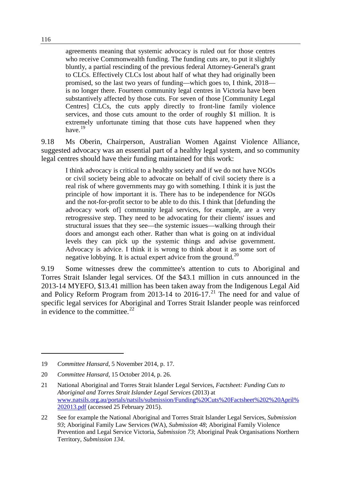agreements meaning that systemic advocacy is ruled out for those centres who receive Commonwealth funding. The funding cuts are, to put it slightly bluntly, a partial rescinding of the previous federal Attorney-General's grant to CLCs. Effectively CLCs lost about half of what they had originally been promised, so the last two years of funding—which goes to, I think, 2018 is no longer there. Fourteen community legal centres in Victoria have been substantively affected by those cuts. For seven of those [Community Legal Centres] CLCs, the cuts apply directly to front-line family violence services, and those cuts amount to the order of roughly \$1 million. It is extremely unfortunate timing that those cuts have happened when they have.<sup>[19](#page-5-0)</sup>

9.18 Ms Oberin, Chairperson, Australian Women Against Violence Alliance, suggested advocacy was an essential part of a healthy legal system, and so community legal centres should have their funding maintained for this work:

I think advocacy is critical to a healthy society and if we do not have NGOs or civil society being able to advocate on behalf of civil society there is a real risk of where governments may go with something. I think it is just the principle of how important it is. There has to be independence for NGOs and the not-for-profit sector to be able to do this. I think that [defunding the advocacy work of] community legal services, for example, are a very retrogressive step. They need to be advocating for their clients' issues and structural issues that they see—the systemic issues—walking through their doors and amongst each other. Rather than what is going on at individual levels they can pick up the systemic things and advise government. Advocacy is advice. I think it is wrong to think about it as some sort of negative lobbying. It is actual expert advice from the ground.<sup>[20](#page-5-1)</sup>

9.19 Some witnesses drew the committee's attention to cuts to Aboriginal and Torres Strait Islander legal services. Of the \$43.1 million in cuts announced in the 2013-14 MYEFO, \$13.41 million has been taken away from the Indigenous Legal Aid and Policy Reform Program from 2013-14 to 2016-17.<sup>[21](#page-5-2)</sup> The need for and value of specific legal services for Aboriginal and Torres Strait Islander people was reinforced in evidence to the committee.  $22$ 

<span id="page-5-0"></span><sup>19</sup> *Committee Hansard*, 5 November 2014, p. 17.

<span id="page-5-1"></span><sup>20</sup> *Committee Hansard*, 15 October 2014, p. 26.

<span id="page-5-2"></span><sup>21</sup> National Aboriginal and Torres Strait Islander Legal Services, *Factsheet: Funding Cuts to Aboriginal and Torres Strait Islander Legal Services* (2013) at [www.natsils.org.au/portals/natsils/submission/Funding%20Cuts%20Factsheet%202%20April%](http://www.natsils.org.au/portals/natsils/submission/Funding%20Cuts%20Factsheet%202%20April%202013.pdf) [202013.pdf](http://www.natsils.org.au/portals/natsils/submission/Funding%20Cuts%20Factsheet%202%20April%202013.pdf) (accessed 25 February 2015).

<span id="page-5-3"></span><sup>22</sup> See for example the National Aboriginal and Torres Strait Islander Legal Services, *Submission 93*; Aboriginal Family Law Services (WA), *Submission 48*; Aboriginal Family Violence Prevention and Legal Service Victoria, *Submission 73*; Aboriginal Peak Organisations Northern Territory, *Submission 134*.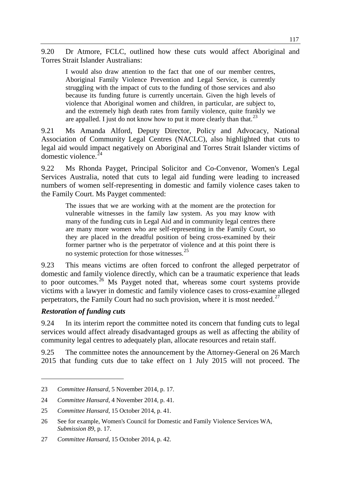9.20 Dr Atmore, FCLC, outlined how these cuts would affect Aboriginal and Torres Strait Islander Australians:

I would also draw attention to the fact that one of our member centres, Aboriginal Family Violence Prevention and Legal Service, is currently struggling with the impact of cuts to the funding of those services and also because its funding future is currently uncertain. Given the high levels of violence that Aboriginal women and children, in particular, are subject to, and the extremely high death rates from family violence, quite frankly we are appalled. I just do not know how to put it more clearly than that.<sup>[23](#page-6-0)</sup>

9.21 Ms Amanda Alford, Deputy Director, Policy and Advocacy, National Association of Community Legal Centres (NACLC), also highlighted that cuts to legal aid would impact negatively on Aboriginal and Torres Strait Islander victims of domestic violence. [24](#page-6-1)

9.22 Ms Rhonda Payget, Principal Solicitor and Co-Convenor, Women's Legal Services Australia, noted that cuts to legal aid funding were leading to increased numbers of women self-representing in domestic and family violence cases taken to the Family Court. Ms Payget commented:

The issues that we are working with at the moment are the protection for vulnerable witnesses in the family law system. As you may know with many of the funding cuts in Legal Aid and in community legal centres there are many more women who are self-representing in the Family Court, so they are placed in the dreadful position of being cross-examined by their former partner who is the perpetrator of violence and at this point there is no systemic protection for those witnesses. $25$ 

9.23 This means victims are often forced to confront the alleged perpetrator of domestic and family violence directly, which can be a traumatic experience that leads to poor outcomes.<sup>[26](#page-6-3)</sup> Ms Payget noted that, whereas some court systems provide victims with a lawyer in domestic and family violence cases to cross-examine alleged perpetrators, the Family Court had no such provision, where it is most needed.<sup>[27](#page-6-4)</sup>

#### *Restoration of funding cuts*

-

9.24 In its interim report the committee noted its concern that funding cuts to legal services would affect already disadvantaged groups as well as affecting the ability of community legal centres to adequately plan, allocate resources and retain staff.

9.25 The committee notes the announcement by the Attorney-General on 26 March 2015 that funding cuts due to take effect on 1 July 2015 will not proceed. The

<span id="page-6-0"></span><sup>23</sup> *Committee Hansard*, 5 November 2014, p. 17.

<span id="page-6-1"></span><sup>24</sup> *Committee Hansard*, 4 November 2014, p. 41.

<span id="page-6-2"></span><sup>25</sup> *Committee Hansard*, 15 October 2014, p. 41.

<span id="page-6-3"></span><sup>26</sup> See for example, Women's Council for Domestic and Family Violence Services WA, *Submission 89*, p. 17.

<span id="page-6-4"></span><sup>27</sup> *Committee Hansard*, 15 October 2014, p. 42.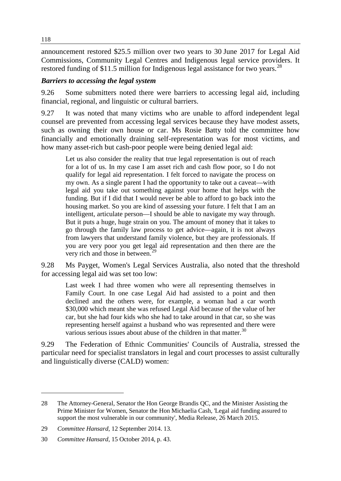announcement restored \$25.5 million over two years to 30 June 2017 for Legal Aid Commissions, Community Legal Centres and Indigenous legal service providers. It restored funding of \$11.5 million for Indigenous legal assistance for two years.<sup>[28](#page-7-0)</sup>

## *Barriers to accessing the legal system*

9.26 Some submitters noted there were barriers to accessing legal aid, including financial, regional, and linguistic or cultural barriers.

9.27 It was noted that many victims who are unable to afford independent legal counsel are prevented from accessing legal services because they have modest assets, such as owning their own house or car. Ms Rosie Batty told the committee how financially and emotionally draining self-representation was for most victims, and how many asset-rich but cash-poor people were being denied legal aid:

Let us also consider the reality that true legal representation is out of reach for a lot of us. In my case I am asset rich and cash flow poor, so I do not qualify for legal aid representation. I felt forced to navigate the process on my own. As a single parent I had the opportunity to take out a caveat—with legal aid you take out something against your home that helps with the funding. But if I did that I would never be able to afford to go back into the housing market. So you are kind of assessing your future. I felt that I am an intelligent, articulate person—I should be able to navigate my way through. But it puts a huge, huge strain on you. The amount of money that it takes to go through the family law process to get advice—again, it is not always from lawyers that understand family violence, but they are professionals. If you are very poor you get legal aid representation and then there are the very rich and those in between.<sup>[29](#page-7-1)</sup>

9.28 Ms Payget, Women's Legal Services Australia, also noted that the threshold for accessing legal aid was set too low:

Last week I had three women who were all representing themselves in Family Court. In one case Legal Aid had assisted to a point and then declined and the others were, for example, a woman had a car worth \$30,000 which meant she was refused Legal Aid because of the value of her car, but she had four kids who she had to take around in that car, so she was representing herself against a husband who was represented and there were various serious issues about abuse of the children in that matter. $30$ 

9.29 The Federation of Ethnic Communities' Councils of Australia, stressed the particular need for specialist translators in legal and court processes to assist culturally and linguistically diverse (CALD) women:

<span id="page-7-0"></span><sup>28</sup> The Attorney-General, Senator the Hon George Brandis QC, and the Minister Assisting the Prime Minister for Women, Senator the Hon Michaelia Cash, 'Legal aid funding assured to support the most vulnerable in our community', Media Release, 26 March 2015.

<span id="page-7-1"></span><sup>29</sup> *Committee Hansard*, 12 September 2014. 13.

<span id="page-7-2"></span><sup>30</sup> *Committee Hansard*, 15 October 2014, p. 43.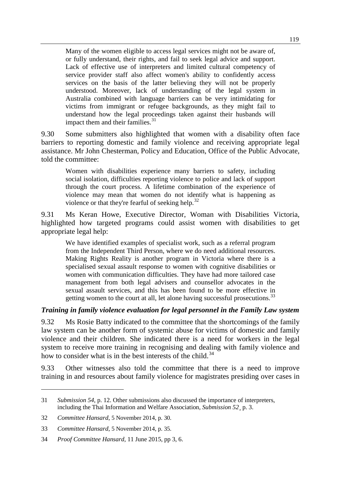Many of the women eligible to access legal services might not be aware of, or fully understand, their rights, and fail to seek legal advice and support. Lack of effective use of interpreters and limited cultural competency of service provider staff also affect women's ability to confidently access services on the basis of the latter believing they will not be properly understood. Moreover, lack of understanding of the legal system in Australia combined with language barriers can be very intimidating for victims from immigrant or refugee backgrounds, as they might fail to understand how the legal proceedings taken against their husbands will impact them and their families.<sup>[31](#page-8-0)</sup>

9.30 Some submitters also highlighted that women with a disability often face barriers to reporting domestic and family violence and receiving appropriate legal assistance. Mr John Chesterman, Policy and Education, Office of the Public Advocate, told the committee:

Women with disabilities experience many barriers to safety, including social isolation, difficulties reporting violence to police and lack of support through the court process. A lifetime combination of the experience of violence may mean that women do not identify what is happening as violence or that they're fearful of seeking help.<sup>[32](#page-8-1)</sup>

9.31 Ms Keran Howe, Executive Director, Woman with Disabilities Victoria, highlighted how targeted programs could assist women with disabilities to get appropriate legal help:

We have identified examples of specialist work, such as a referral program from the Independent Third Person, where we do need additional resources. Making Rights Reality is another program in Victoria where there is a specialised sexual assault response to women with cognitive disabilities or women with communication difficulties. They have had more tailored case management from both legal advisers and counsellor advocates in the sexual assault services, and this has been found to be more effective in getting women to the court at all, let alone having successful prosecutions.<sup>[33](#page-8-2)</sup>

#### *Training in family violence evaluation for legal personnel in the Family Law system*

9.32 Ms Rosie Batty indicated to the committee that the shortcomings of the family law system can be another form of systemic abuse for victims of domestic and family violence and their children. She indicated there is a need for workers in the legal system to receive more training in recognising and dealing with family violence and how to consider what is in the best interests of the child.<sup>[34](#page-8-3)</sup>

9.33 Other witnesses also told the committee that there is a need to improve training in and resources about family violence for magistrates presiding over cases in

<span id="page-8-0"></span><sup>31</sup> *Submission 54*, p. 12. Other submissions also discussed the importance of interpreters, including the Thai Information and Welfare Association, *Submission 52*¸ p. 3.

<span id="page-8-1"></span><sup>32</sup> *Committee Hansard*, 5 November 2014, p. 30.

<span id="page-8-2"></span><sup>33</sup> *Committee Hansard*, 5 November 2014, p. 35.

<span id="page-8-3"></span><sup>34</sup> *Proof Committee Hansard*, 11 June 2015, pp 3, 6.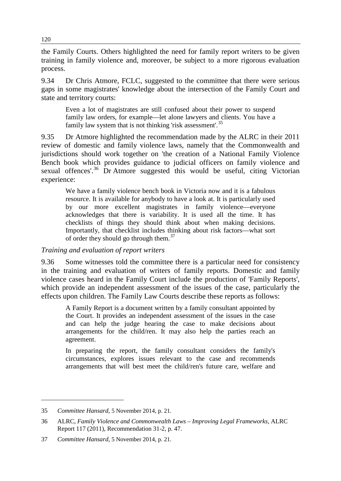the Family Courts. Others highlighted the need for family report writers to be given training in family violence and, moreover, be subject to a more rigorous evaluation process.

9.34 Dr Chris Atmore, FCLC, suggested to the committee that there were serious gaps in some magistrates' knowledge about the intersection of the Family Court and state and territory courts:

Even a lot of magistrates are still confused about their power to suspend family law orders, for example—let alone lawyers and clients. You have a family law system that is not thinking 'risk assessment'.<sup>[35](#page-9-0)</sup>

9.35 Dr Atmore highlighted the recommendation made by the ALRC in their 2011 review of domestic and family violence laws, namely that the Commonwealth and jurisdictions should work together on 'the creation of a National Family Violence Bench book which provides guidance to judicial officers on family violence and sexual offences'.<sup>[36](#page-9-1)</sup> Dr Atmore suggested this would be useful, citing Victorian experience:

We have a family violence bench book in Victoria now and it is a fabulous resource. It is available for anybody to have a look at. It is particularly used by our more excellent magistrates in family violence—everyone acknowledges that there is variability. It is used all the time. It has checklists of things they should think about when making decisions. Importantly, that checklist includes thinking about risk factors—what sort of order they should go through them.[37](#page-9-2)

#### *Training and evaluation of report writers*

9.36 Some witnesses told the committee there is a particular need for consistency in the training and evaluation of writers of family reports. Domestic and family violence cases heard in the Family Court include the production of 'Family Reports', which provide an independent assessment of the issues of the case, particularly the effects upon children. The Family Law Courts describe these reports as follows:

A Family Report is a document written by a family consultant appointed by the Court. It provides an independent assessment of the issues in the case and can help the judge hearing the case to make decisions about arrangements for the child/ren. It may also help the parties reach an agreement.

In preparing the report, the family consultant considers the family's circumstances, explores issues relevant to the case and recommends arrangements that will best meet the child/ren's future care, welfare and

<span id="page-9-0"></span><sup>35</sup> *Committee Hansard*, 5 November 2014, p. 21.

<span id="page-9-1"></span><sup>36</sup> ALRC, *Family Violence and Commonwealth Laws – Improving Legal Frameworks*, ALRC Report 117 (2011), Recommendation 31-2, p. 47.

<span id="page-9-2"></span><sup>37</sup> *Committee Hansard*, 5 November 2014, p. 21.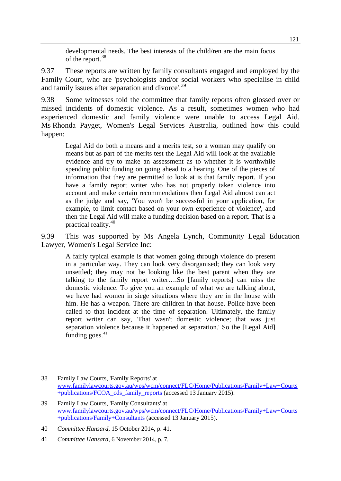developmental needs. The best interests of the child/ren are the main focus of the report.<sup>[38](#page-10-0)</sup>

9.37 These reports are written by family consultants engaged and employed by the Family Court, who are 'psychologists and/or social workers who specialise in child and family issues after separation and divorce'.<sup>[39](#page-10-1)</sup>

9.38 Some witnesses told the committee that family reports often glossed over or missed incidents of domestic violence. As a result, sometimes women who had experienced domestic and family violence were unable to access Legal Aid. Ms Rhonda Payget, Women's Legal Services Australia, outlined how this could happen:

Legal Aid do both a means and a merits test, so a woman may qualify on means but as part of the merits test the Legal Aid will look at the available evidence and try to make an assessment as to whether it is worthwhile spending public funding on going ahead to a hearing. One of the pieces of information that they are permitted to look at is that family report. If you have a family report writer who has not properly taken violence into account and make certain recommendations then Legal Aid almost can act as the judge and say, 'You won't be successful in your application, for example, to limit contact based on your own experience of violence', and then the Legal Aid will make a funding decision based on a report. That is a practical reality.[40](#page-10-2)

9.39 This was supported by Ms Angela Lynch, Community Legal Education Lawyer, Women's Legal Service Inc:

A fairly typical example is that women going through violence do present in a particular way. They can look very disorganised; they can look very unsettled; they may not be looking like the best parent when they are talking to the family report writer….So [family reports] can miss the domestic violence. To give you an example of what we are talking about, we have had women in siege situations where they are in the house with him. He has a weapon. There are children in that house. Police have been called to that incident at the time of separation. Ultimately, the family report writer can say, 'That wasn't domestic violence; that was just separation violence because it happened at separation.' So the [Legal Aid] funding goes. $41$ 

<span id="page-10-0"></span><sup>38</sup> Family Law Courts, 'Family Reports' at [www.familylawcourts.gov.au/wps/wcm/connect/FLC/Home/Publications/Family+Law+Courts](http://www.familylawcourts.gov.au/wps/wcm/connect/FLC/Home/Publications/Family+Law+Courts+publications/FCOA_cds_family_reports) [+publications/FCOA\\_cds\\_family\\_reports](http://www.familylawcourts.gov.au/wps/wcm/connect/FLC/Home/Publications/Family+Law+Courts+publications/FCOA_cds_family_reports) (accessed 13 January 2015).

<span id="page-10-1"></span><sup>39</sup> Family Law Courts, 'Family Consultants' at [www.familylawcourts.gov.au/wps/wcm/connect/FLC/Home/Publications/Family+Law+Courts](http://www.familylawcourts.gov.au/wps/wcm/connect/FLC/Home/Publications/Family+Law+Courts+publications/Family+Consultants) [+publications/Family+Consultants](http://www.familylawcourts.gov.au/wps/wcm/connect/FLC/Home/Publications/Family+Law+Courts+publications/Family+Consultants) (accessed 13 January 2015).

<span id="page-10-2"></span><sup>40</sup> *Committee Hansard*, 15 October 2014, p. 41.

<span id="page-10-3"></span><sup>41</sup> *Committee Hansard*, 6 November 2014, p. 7.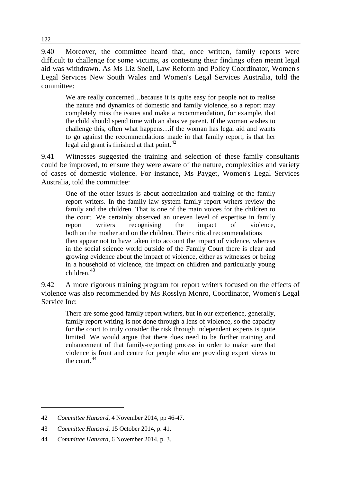9.40 Moreover, the committee heard that, once written, family reports were difficult to challenge for some victims, as contesting their findings often meant legal aid was withdrawn. As Ms Liz Snell, Law Reform and Policy Coordinator, Women's Legal Services New South Wales and Women's Legal Services Australia, told the committee:

We are really concerned...because it is quite easy for people not to realise the nature and dynamics of domestic and family violence, so a report may completely miss the issues and make a recommendation, for example, that the child should spend time with an abusive parent. If the woman wishes to challenge this, often what happens…if the woman has legal aid and wants to go against the recommendations made in that family report, is that her legal aid grant is finished at that point. $42$ 

9.41 Witnesses suggested the training and selection of these family consultants could be improved, to ensure they were aware of the nature, complexities and variety of cases of domestic violence. For instance, Ms Payget, Women's Legal Services Australia, told the committee:

One of the other issues is about accreditation and training of the family report writers. In the family law system family report writers review the family and the children. That is one of the main voices for the children to the court. We certainly observed an uneven level of expertise in family report writers recognising the impact of violence, both on the mother and on the children. Their critical recommendations then appear not to have taken into account the impact of violence, whereas in the social science world outside of the Family Court there is clear and growing evidence about the impact of violence, either as witnesses or being in a household of violence, the impact on children and particularly young  $children$ <sup>[43](#page-11-1)</sup>

9.42 A more rigorous training program for report writers focused on the effects of violence was also recommended by Ms Rosslyn Monro, Coordinator, Women's Legal Service Inc:

There are some good family report writers, but in our experience, generally, family report writing is not done through a lens of violence, so the capacity for the court to truly consider the risk through independent experts is quite limited. We would argue that there does need to be further training and enhancement of that family-reporting process in order to make sure that violence is front and centre for people who are providing expert views to the court  $44$ 

<span id="page-11-0"></span><sup>42</sup> *Committee Hansard*, 4 November 2014, pp 46-47.

<span id="page-11-1"></span><sup>43</sup> *Committee Hansard*, 15 October 2014, p. 41.

<span id="page-11-2"></span><sup>44</sup> *Committee Hansard*, 6 November 2014, p. 3.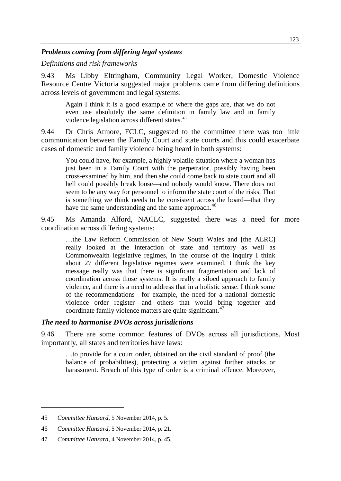#### *Problems coming from differing legal systems*

*Definitions and risk frameworks*

9.43 Ms Libby Eltringham, Community Legal Worker, Domestic Violence Resource Centre Victoria suggested major problems came from differing definitions across levels of government and legal systems:

Again I think it is a good example of where the gaps are, that we do not even use absolutely the same definition in family law and in family violence legislation across different states.<sup>[45](#page-12-0)</sup>

9.44 Dr Chris Atmore, FCLC, suggested to the committee there was too little communication between the Family Court and state courts and this could exacerbate cases of domestic and family violence being heard in both systems:

You could have, for example, a highly volatile situation where a woman has just been in a Family Court with the perpetrator, possibly having been cross-examined by him, and then she could come back to state court and all hell could possibly break loose—and nobody would know. There does not seem to be any way for personnel to inform the state court of the risks. That is something we think needs to be consistent across the board—that they have the same understanding and the same approach.<sup>[46](#page-12-1)</sup>

9.45 Ms Amanda Alford, NACLC, suggested there was a need for more coordination across differing systems:

…the Law Reform Commission of New South Wales and [the ALRC] really looked at the interaction of state and territory as well as Commonwealth legislative regimes, in the course of the inquiry I think about 27 different legislative regimes were examined. I think the key message really was that there is significant fragmentation and lack of coordination across those systems. It is really a siloed approach to family violence, and there is a need to address that in a holistic sense. I think some of the recommendations—for example, the need for a national domestic violence order register—and others that would bring together and coordinate family violence matters are quite significant.<sup>[47](#page-12-2)</sup>

#### *The need to harmonise DVOs across jurisdictions*

9.46 There are some common features of DVOs across all jurisdictions. Most importantly, all states and territories have laws:

…to provide for a court order, obtained on the civil standard of proof (the balance of probabilities), protecting a victim against further attacks or harassment. Breach of this type of order is a criminal offence. Moreover,

<span id="page-12-0"></span><sup>45</sup> *Committee Hansard*, 5 November 2014, p. 5.

<span id="page-12-1"></span><sup>46</sup> *Committee Hansard*, 5 November 2014, p. 21.

<span id="page-12-2"></span><sup>47</sup> *Committee Hansard*, 4 November 2014, p. 45.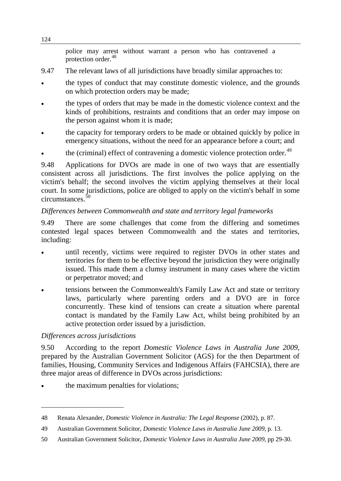police may arrest without warrant a person who has contravened a protection order.<sup>[48](#page-13-0)</sup>

- 9.47 The relevant laws of all jurisdictions have broadly similar approaches to:
- the types of conduct that may constitute domestic violence, and the grounds on which protection orders may be made;
- the types of orders that may be made in the domestic violence context and the kinds of prohibitions, restraints and conditions that an order may impose on the person against whom it is made;
- the capacity for temporary orders to be made or obtained quickly by police in emergency situations, without the need for an appearance before a court; and
- the (criminal) effect of contravening a domestic violence protection order.<sup>[49](#page-13-1)</sup>

9.48 Applications for DVOs are made in one of two ways that are essentially consistent across all jurisdictions. The first involves the police applying on the victim's behalf; the second involves the victim applying themselves at their local court. In some jurisdictions, police are obliged to apply on the victim's behalf in some circumstances. [50](#page-13-2)

## *Differences between Commonwealth and state and territory legal frameworks*

9.49 There are some challenges that come from the differing and sometimes contested legal spaces between Commonwealth and the states and territories, including:

- until recently, victims were required to register DVOs in other states and territories for them to be effective beyond the jurisdiction they were originally issued. This made them a clumsy instrument in many cases where the victim or perpetrator moved; and
- tensions between the Commonwealth's Family Law Act and state or territory laws, particularly where parenting orders and a DVO are in force concurrently. These kind of tensions can create a situation where parental contact is mandated by the Family Law Act, whilst being prohibited by an active protection order issued by a jurisdiction.

#### *Differences across jurisdictions*

-

9.50 According to the report *Domestic Violence Laws in Australia June 2009*, prepared by the Australian Government Solicitor (AGS) for the then Department of families, Housing, Community Services and Indigenous Affairs (FAHCSIA), there are three major areas of difference in DVOs across jurisdictions:

the maximum penalties for violations;

<span id="page-13-0"></span><sup>48</sup> Renata Alexander, *Domestic Violence in Australia: The Legal Response* (2002), p. 87.

<span id="page-13-1"></span><sup>49</sup> Australian Government Solicitor, *Domestic Violence Laws in Australia June 2009*, p. 13.

<span id="page-13-2"></span><sup>50</sup> Australian Government Solicitor, *Domestic Violence Laws in Australia June 2009*, pp 29-30.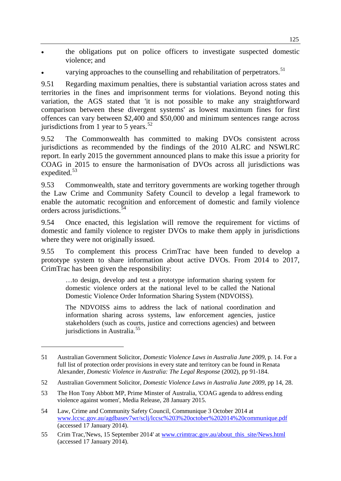- the obligations put on police officers to investigate suspected domestic violence; and
- varying approaches to the counselling and rehabilitation of perpetrators.<sup>[51](#page-14-0)</sup>

9.51 Regarding maximum penalties, there is substantial variation across states and territories in the fines and imprisonment terms for violations. Beyond noting this variation, the AGS stated that 'it is not possible to make any straightforward comparison between these divergent systems' as lowest maximum fines for first offences can vary between \$2,400 and \$50,000 and minimum sentences range across jurisdictions from 1 year to 5 years. $5<sup>2</sup>$ 

9.52 The Commonwealth has committed to making DVOs consistent across jurisdictions as recommended by the findings of the 2010 ALRC and NSWLRC report. In early 2015 the government announced plans to make this issue a priority for COAG in 2015 to ensure the harmonisation of DVOs across all jurisdictions was expedited.<sup>[53](#page-14-2)</sup>

9.53 Commonwealth, state and territory governments are working together through the Law Crime and Community Safety Council to develop a legal framework to enable the automatic recognition and enforcement of domestic and family violence orders across jurisdictions. [54](#page-14-3)

9.54 Once enacted, this legislation will remove the requirement for victims of domestic and family violence to register DVOs to make them apply in jurisdictions where they were not originally issued.

9.55 To complement this process CrimTrac have been funded to develop a prototype system to share information about active DVOs. From 2014 to 2017, CrimTrac has been given the responsibility:

…to design, develop and test a prototype information sharing system for domestic violence orders at the national level to be called the National Domestic Violence Order Information Sharing System (NDVOISS).

The NDVOISS aims to address the lack of national coordination and information sharing across systems, law enforcement agencies, justice stakeholders (such as courts, justice and corrections agencies) and between jurisdictions in Australia.<sup>[55](#page-14-4)</sup>

<span id="page-14-0"></span><sup>51</sup> Australian Government Solicitor, *Domestic Violence Laws in Australia June 2009*, p. 14. For a full list of protection order provisions in every state and territory can be found in Renata Alexander, *Domestic Violence in Australia: The Legal Response* (2002), pp 91-184.

<span id="page-14-1"></span><sup>52</sup> Australian Government Solicitor, *Domestic Violence Laws in Australia June 2009*, pp 14, 28.

<span id="page-14-2"></span><sup>53</sup> The Hon Tony Abbott MP, Prime Minster of Australia, 'COAG agenda to address ending violence against women', Media Release, 28 January 2015.

<span id="page-14-3"></span><sup>54</sup> Law, Crime and Community Safety Council, Communique 3 October 2014 at [www.lccsc.gov.au/agdbasev7wr/sclj/lccsc%203%20october%202014%20communique.pdf](http://www.lccsc.gov.au/agdbasev7wr/sclj/lccsc%203%20october%202014%20communique.pdf) (accessed 17 January 2014).

<span id="page-14-4"></span><sup>55</sup> Crim Trac,'News, 15 September 2014' at [www.crimtrac.gov.au/about\\_this\\_site/News.html](http://www.crimtrac.gov.au/about_this_site/News.html) (accessed 17 January 2014).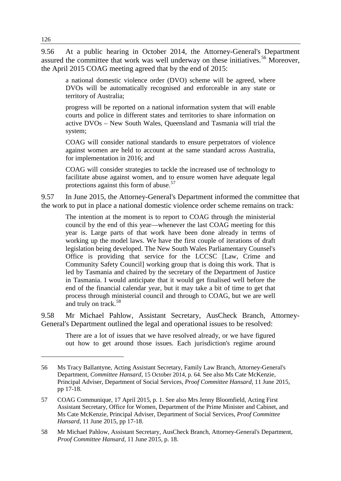9.56 At a public hearing in October 2014, the Attorney-General's Department assured the committee that work was well underway on these initiatives.<sup>[56](#page-15-0)</sup> Moreover, the April 2015 COAG meeting agreed that by the end of 2015:

a national domestic violence order (DVO) scheme will be agreed, where DVOs will be automatically recognised and enforceable in any state or territory of Australia;

progress will be reported on a national information system that will enable courts and police in different states and territories to share information on active DVOs – New South Wales, Queensland and Tasmania will trial the system;

COAG will consider national standards to ensure perpetrators of violence against women are held to account at the same standard across Australia, for implementation in 2016; and

COAG will consider strategies to tackle the increased use of technology to facilitate abuse against women, and to ensure women have adequate legal protections against this form of abuse.<sup>[57](#page-15-1)</sup>

9.57 In June 2015, the Attorney-General's Department informed the committee that the work to put in place a national domestic violence order scheme remains on track:

The intention at the moment is to report to COAG through the ministerial council by the end of this year—whenever the last COAG meeting for this year is. Large parts of that work have been done already in terms of working up the model laws. We have the first couple of iterations of draft legislation being developed. The New South Wales Parliamentary Counsel's Office is providing that service for the LCCSC [Law, Crime and Community Safety Council] working group that is doing this work. That is led by Tasmania and chaired by the secretary of the Department of Justice in Tasmania. I would anticipate that it would get finalised well before the end of the financial calendar year, but it may take a bit of time to get that process through ministerial council and through to COAG, but we are well and truly on track.<sup>[58](#page-15-2)</sup>

9.58 Mr Michael Pahlow, Assistant Secretary, AusCheck Branch, Attorney-General's Department outlined the legal and operational issues to be resolved:

There are a lot of issues that we have resolved already, or we have figured out how to get around those issues. Each jurisdiction's regime around

<span id="page-15-0"></span><sup>56</sup> Ms Tracy Ballantyne, Acting Assistant Secretary, Family Law Branch, Attorney-General's Department, *Committee Hansard*, 15 October 2014, p. 64. See also Ms Cate McKenzie, Principal Adviser, Department of Social Services, *Proof Committee Hansard*, 11 June 2015, pp 17-18.

<span id="page-15-1"></span><sup>57</sup> COAG Communique, 17 April 2015, p. 1. See also Mrs Jenny Bloomfield, Acting First Assistant Secretary, Office for Women, Department of the Prime Minister and Cabinet, and Ms Cate McKenzie, Principal Adviser, Department of Social Services, *Proof Committee Hansard*, 11 June 2015, pp 17-18.

<span id="page-15-2"></span><sup>58</sup> Mr Michael Pahlow, Assistant Secretary, AusCheck Branch, Attorney-General's Department, *Proof Committee Hansard*, 11 June 2015, p. 18.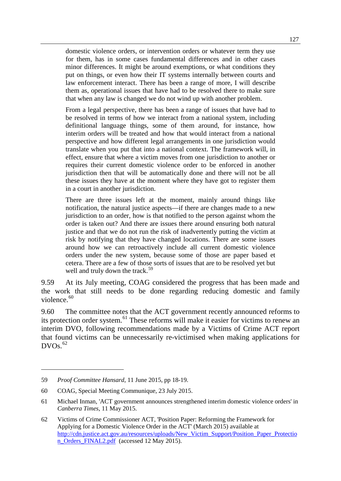domestic violence orders, or intervention orders or whatever term they use for them, has in some cases fundamental differences and in other cases minor differences. It might be around exemptions, or what conditions they put on things, or even how their IT systems internally between courts and law enforcement interact. There has been a range of more, I will describe them as, operational issues that have had to be resolved there to make sure that when any law is changed we do not wind up with another problem.

From a legal perspective, there has been a range of issues that have had to be resolved in terms of how we interact from a national system, including definitional language things, some of them around, for instance, how interim orders will be treated and how that would interact from a national perspective and how different legal arrangements in one jurisdiction would translate when you put that into a national context. The framework will, in effect, ensure that where a victim moves from one jurisdiction to another or requires their current domestic violence order to be enforced in another jurisdiction then that will be automatically done and there will not be all these issues they have at the moment where they have got to register them in a court in another jurisdiction.

There are three issues left at the moment, mainly around things like notification, the natural justice aspects—if there are changes made to a new jurisdiction to an order, how is that notified to the person against whom the order is taken out? And there are issues there around ensuring both natural justice and that we do not run the risk of inadvertently putting the victim at risk by notifying that they have changed locations. There are some issues around how we can retroactively include all current domestic violence orders under the new system, because some of those are paper based et cetera. There are a few of those sorts of issues that are to be resolved yet but well and truly down the track.<sup>[59](#page-16-0)</sup>

9.59 At its July meeting, COAG considered the progress that has been made and the work that still needs to be done regarding reducing domestic and family violence.<sup>[60](#page-16-1)</sup>

9.60 The committee notes that the ACT government recently announced reforms to its protection order system.<sup>[61](#page-16-2)</sup> These reforms will make it easier for victims to renew an interim DVO, following recommendations made by a Victims of Crime ACT report that found victims can be unnecessarily re-victimised when making applications for  $DVOs.<sup>62</sup>$  $DVOs.<sup>62</sup>$  $DVOs.<sup>62</sup>$ 

<span id="page-16-0"></span><sup>59</sup> *Proof Committee Hansard*, 11 June 2015, pp 18-19.

<span id="page-16-1"></span><sup>60</sup> COAG, Special Meeting Communique, 23 July 2015.

<span id="page-16-2"></span><sup>61</sup> Michael Inman, 'ACT government announces strengthened interim domestic violence orders' in *Canberra Times*, 11 May 2015.

<span id="page-16-3"></span><sup>62</sup> Victims of Crime Commissioner ACT, 'Position Paper: Reforming the Framework for Applying for a Domestic Violence Order in the ACT' (March 2015) available at [http://cdn.justice.act.gov.au/resources/uploads/New\\_Victim\\_Support/Position\\_Paper\\_Protectio](http://cdn.justice.act.gov.au/resources/uploads/New_Victim_Support/Position_Paper_Protection_Orders_FINAL2.pdf) [n\\_Orders\\_FINAL2.pdf](http://cdn.justice.act.gov.au/resources/uploads/New_Victim_Support/Position_Paper_Protection_Orders_FINAL2.pdf) (accessed 12 May 2015).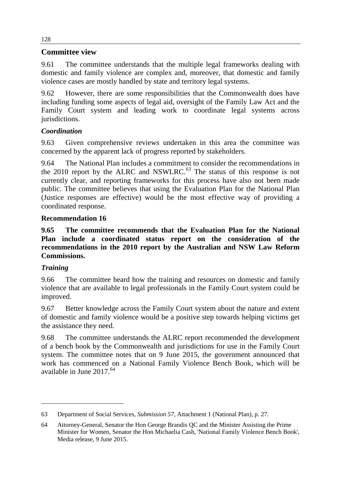## **Committee view**

9.61 The committee understands that the multiple legal frameworks dealing with domestic and family violence are complex and, moreover, that domestic and family violence cases are mostly handled by state and territory legal systems.

9.62 However, there are some responsibilities that the Commonwealth does have including funding some aspects of legal aid, oversight of the Family Law Act and the Family Court system and leading work to coordinate legal systems across jurisdictions.

# *Coordination*

9.63 Given comprehensive reviews undertaken in this area the committee was concerned by the apparent lack of progress reported by stakeholders.

9.64 The National Plan includes a commitment to consider the recommendations in the  $2010$  report by the ALRC and NSWLRC.<sup>[63](#page-17-0)</sup> The status of this response is not currently clear, and reporting frameworks for this process have also not been made public. The committee believes that using the Evaluation Plan for the National Plan (Justice responses are effective) would be the most effective way of providing a coordinated response.

## **Recommendation 16**

**9.65 The committee recommends that the Evaluation Plan for the National Plan include a coordinated status report on the consideration of the recommendations in the 2010 report by the Australian and NSW Law Reform Commissions.** 

# *Training*

-

9.66 The committee heard how the training and resources on domestic and family violence that are available to legal professionals in the Family Court system could be improved.

9.67 Better knowledge across the Family Court system about the nature and extent of domestic and family violence would be a positive step towards helping victims get the assistance they need.

9.68 The committee understands the ALRC report recommended the development of a bench book by the Commonwealth and jurisdictions for use in the Family Court system. The committee notes that on 9 June 2015, the government announced that work has commenced on a National Family Violence Bench Book, which will be available in June 2017.<sup>[64](#page-17-1)</sup>

128

<span id="page-17-0"></span><sup>63</sup> Department of Social Services, *Submission 57*, Attachment 1 (National Plan), p. 27.

<span id="page-17-1"></span><sup>64</sup> Attorney-General, Senator the Hon George Brandis QC and the Minister Assisting the Prime Minister for Women, Senator the Hon Michaelia Cash, 'National Family Violence Bench Book', Media release, 9 June 2015.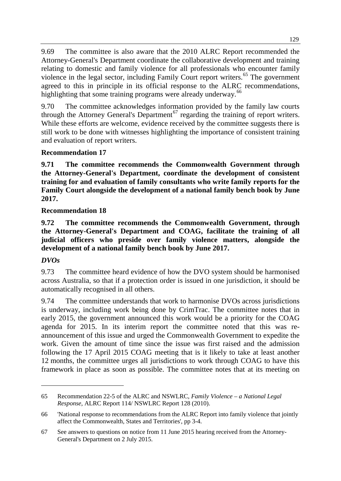9.69 The committee is also aware that the 2010 ALRC Report recommended the Attorney-General's Department coordinate the collaborative development and training relating to domestic and family violence for all professionals who encounter family violence in the legal sector, including Family Court report writers.<sup>[65](#page-18-0)</sup> The government agreed to this in principle in its official response to the ALRC recommendations, highlighting that some training programs were already underway.<sup>[66](#page-18-1)</sup>

9.70 The committee acknowledges information provided by the family law courts through the Attorney General's Department<sup>[67](#page-18-2)</sup> regarding the training of report writers. While these efforts are welcome, evidence received by the committee suggests there is still work to be done with witnesses highlighting the importance of consistent training and evaluation of report writers.

# **Recommendation 17**

**9.71 The committee recommends the Commonwealth Government through the Attorney-General's Department, coordinate the development of consistent training for and evaluation of family consultants who write family reports for the Family Court alongside the development of a national family bench book by June 2017.** 

# **Recommendation 18**

**9.72 The committee recommends the Commonwealth Government, through the Attorney-General's Department and COAG, facilitate the training of all judicial officers who preside over family violence matters, alongside the development of a national family bench book by June 2017.** 

# *DVOs*

-

9.73 The committee heard evidence of how the DVO system should be harmonised across Australia, so that if a protection order is issued in one jurisdiction, it should be automatically recognised in all others.

9.74 The committee understands that work to harmonise DVOs across jurisdictions is underway, including work being done by CrimTrac. The committee notes that in early 2015, the government announced this work would be a priority for the COAG agenda for 2015. In its interim report the committee noted that this was reannouncement of this issue and urged the Commonwealth Government to expedite the work. Given the amount of time since the issue was first raised and the admission following the 17 April 2015 COAG meeting that is it likely to take at least another 12 months, the committee urges all jurisdictions to work through COAG to have this framework in place as soon as possible. The committee notes that at its meeting on

<span id="page-18-0"></span><sup>65</sup> Recommendation 22-5 of the ALRC and NSWLRC, *Family Violence – a National Legal Response*, ALRC Report 114/ NSWLRC Report 128 (2010).

<span id="page-18-1"></span><sup>66</sup> 'National response to recommendations from the ALRC Report into family violence that jointly affect the Commonwealth, States and Territories', pp 3-4.

<span id="page-18-2"></span><sup>67</sup> See answers to questions on notice from 11 June 2015 hearing received from the Attorney-General's Department on 2 July 2015.